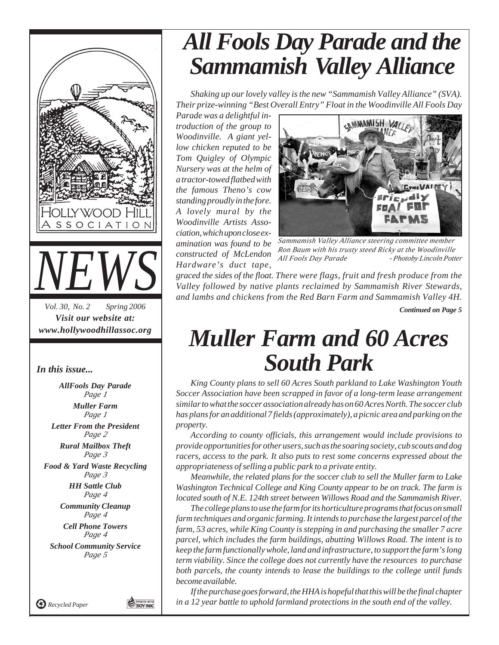

*In this issue...*

*AllFools Day Parade Page 1 Muller Farm Page 1 Letter From the President Page 2 Rural Mailbox Theft Page 3 Food & Yard Waste Recycling Page 3 HH Sattle Club Page 4 Community Cleanup Page 4 Cell Phone Towers Page 4 School Community Service Page 5*

*Recycled Paper*

**O PRINTED WITH** 

# *All Fools Day Parade and the Sammamish Valley Alliance*

*Shaking up our lovely valley is the new "Sammamish Valley Alliance" (SVA). Their prize-winning "Best Overall Entry" Float in the Woodinville All Fools Day*

*Parade was a delightful introduction of the group to Woodinville. A giant yellow chicken reputed to be Tom Quigley of Olympic Nursery was at the helm of a tractor-towed flatbed with the famous Theno's cow standing proudly in the fore. A lovely mural by the Woodinville Artists Association, which upon close examination was found to be constructed of McLendon Hardware's duct tape,*



*- Photoby Lincoln Potter Sammamish Valley Alliance steering committee member Ron Baum with his trusty steed Ricky at the Woodinville All Fools Day Parade*

*graced the sides of the float. There were flags, fruit and fresh produce from the Valley followed by native plants reclaimed by Sammamish River Stewards, and lambs and chickens from the Red Barn Farm and Sammamish Valley 4H. Continued on Page 5*

## *Muller Farm and 60 Acres South Park*

*King County plans to sell 60 Acres South parkland to Lake Washington Youth Soccer Association have been scrapped in favor of a long-term lease arrangement similar to what the soccer association already has on 60 Acres North. The soccer club has plans for an additional 7 fields (approximately), a picnic area and parking on the property.*

*According to county officials, this arrangement would include provisions to provide opportunities for other users, such as the soaring society, cub scouts and dog racers, access to the park. It also puts to rest some concerns expressed about the appropriateness of selling a public park to a private entity.*

*Meanwhile, the related plans for the soccer club to sell the Muller farm to Lake Washington Technical College and King County appear to be on track. The farm is located south of N.E. 124th street between Willows Road and the Sammamish River.*

*The college plans to use the farm for its horticulture programs that focus on small farm techniques and organic farming. It intends to purchase the largest parcel of the farm, 53 acres, while King County is stepping in and purchasing the smaller 7 acre parcel, which includes the farm buildings, abutting Willows Road. The intent is to keep the farm functionally whole, land and infrastructure, to support the farm's long term viability. Since the college does not currently have the resources to purchase both parcels, the county intends to lease the buildings to the college until funds become available.*

*If the purchase goes forward, the HHA is hopeful that this will be the final chapter in a 12 year battle to uphold farmland protections in the south end of the valley.*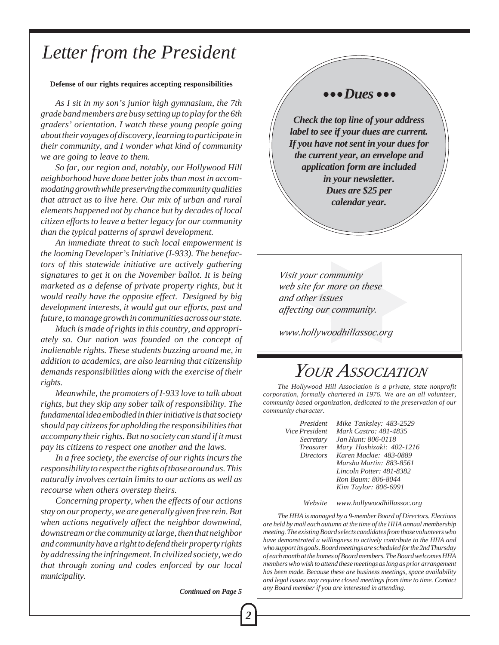### *Letter from the President*

#### **Defense of our rights requires accepting responsibilities**

*As I sit in my son's junior high gymnasium, the 7th grade band members are busy setting up to play for the 6th graders' orientation. I watch these young people going about their voyages of discovery, learning to participate in their community, and I wonder what kind of community we are going to leave to them.*

*So far, our region and, notably, our Hollywood Hill neighborhood have done better jobs than most in accommodating growth while preserving the community qualities that attract us to live here. Our mix of urban and rural elements happened not by chance but by decades of local citizen efforts to leave a better legacy for our community than the typical patterns of sprawl development.*

*An immediate threat to such local empowerment is the looming Developer's Initiative (I-933). The benefactors of this statewide initiative are actively gathering signatures to get it on the November ballot. It is being marketed as a defense of private property rights, but it would really have the opposite effect. Designed by big development interests, it would gut our efforts, past and future, to manage growth in communities across our state.*

*Much is made of rights in this country, and appropriately so. Our nation was founded on the concept of inalienable rights. These students buzzing around me, in addition to academics, are also learning that citizenship demands responsibilities along with the exercise of their rights.*

*Meanwhile, the promoters of I-933 love to talk about rights, but they skip any sober talk of responsibility. The fundamental idea embodied in thier initiative is that society should pay citizens for upholding the responsibilities that accompany their rights. But no society can stand if it must pay its citizens to respect one another and the laws.*

*In a free society, the exercise of our rights incurs the responsibility to respect the rights of those around us. This naturally involves certain limits to our actions as well as recourse when others overstep theirs.*

*Concerning property, when the effects of our actions stay on our property, we are generally given free rein. But when actions negatively affect the neighbor downwind, downstream or the community at large, then that neighbor and community have a right to defend their property rights by addressing the infringement. In civilized society, we do that through zoning and codes enforced by our local municipality.*

*Continued on Page 5*

### $\bullet\bullet\bullet Dues\bullet\bullet\bullet$

*Check the top line of your address label to see if your dues are current. If you have not sent in your dues for the current year, an envelope and application form are included in your newsletter. Dues are \$25 per calendar year.*

*Visit your community web site for more on these and other issues affecting our community.*

*www.hollywoodhillassoc.org*

### *YOUR ASSOCIATION*

*The Hollywood Hill Association is a private, state nonprofit corporation, formally chartered in 1976. We are an all volunteer, community based organization, dedicated to the preservation of our community character.*

*President Mike Tanksley: 483-2529 Vice President Mark Castro: 481-4835 Secretary Jan Hunt: 806-0118 Treasurer Mary Hoshizaki: 402-1216 Directors Karen Mackie: 483-0889 Marsha Martin: 883-8561 Lincoln Potter: 481-8382 Ron Baum: 806-8044 Kim Taylor: 806-6991*

*Website www.hollywoodhillassoc.org*

*The HHA is managed by a 9-member Board of Directors. Elections are held by mail each autumn at the time of the HHA annual membership meeting. The existing Board selects candidates from those volunteers who have demonstrated a willingness to actively contribute to the HHA and who support its goals. Board meetings are scheduled for the 2nd Thursday of each month at the homes of Board members. The Board welcomes HHA members who wish to attend these meetings as long as prior arrangement has been made. Because these are business meetings, space availability and legal issues may require closed meetings from time to time. Contact any Board member if you are interested in attending.*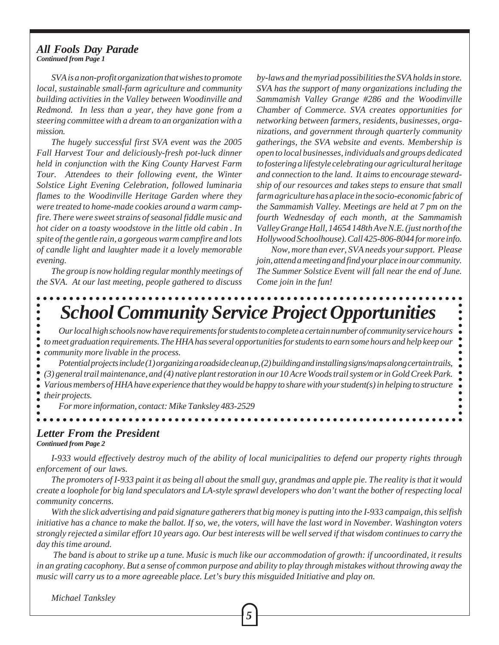#### *Continued from Page 1 All Fools Day Parade*

*SVA is a non-profit organization that wishes to promote local, sustainable small-farm agriculture and community building activities in the Valley between Woodinville and Redmond. In less than a year, they have gone from a steering committee with a dream to an organization with a mission.*

*The hugely successful first SVA event was the 2005 Fall Harvest Tour and deliciously-fresh pot-luck dinner held in conjunction with the King County Harvest Farm Tour. Attendees to their following event, the Winter Solstice Light Evening Celebration, followed luminaria flames to the Woodinville Heritage Garden where they were treated to home-made cookies around a warm campfire. There were sweet strains of seasonal fiddle music and hot cider on a toasty woodstove in the little old cabin . In spite of the gentle rain, a gorgeous warm campfire and lots of candle light and laughter made it a lovely memorable evening.*

*The group is now holding regular monthly meetings of the SVA. At our last meeting, people gathered to discuss*

*by-laws and the myriad possibilities the SVA holds in store. SVA has the support of many organizations including the Sammamish Valley Grange #286 and the Woodinville Chamber of Commerce. SVA creates opportunities for networking between farmers, residents, businesses, organizations, and government through quarterly community gatherings, the SVA website and events. Membership is open to local businesses, individuals and groups dedicated to fostering a lifestyle celebrating our agricultural heritage and connection to the land. It aims to encourage stewardship of our resources and takes steps to ensure that small farm agriculture has a place in the socio-economic fabric of the Sammamish Valley. Meetings are held at 7 pm on the fourth Wednesday of each month, at the Sammamish Valley Grange Hall, 14654 148th Ave N.E. (just north of the Hollywood Schoolhouse). Call 425-806-8044 for more info.*

*Now, more than ever, SVA needs your support. Please join, attend a meeting and find your place in our community. The Summer Solstice Event will fall near the end of June. Come join in the fun!*

# *School Community Service Project Opportunities*

*Our local high schools now have requirements for students to complete a certain number of community service hours*  $\bullet$ *to meet graduation requirements. The HHA has several opportunities for students to earn some hours and help keep our* ò *community more livable in the process.*

*Potential projects include (1) organizing a roadside clean up, (2) building and installing signs/maps along certain trails, (3) general trail maintenance, and (4) native plant restoration in our 10 Acre Woods trail system or in Gold Creek Park. Various members of HHA have experience that they would be happy to share with your student(s) in helping to structure their projects.*

*For more information, contact: Mike Tanksley 483-2529*

#### *Continued from Page 2 Letter From the President*

*I-933 would effectively destroy much of the ability of local municipalities to defend our property rights through enforcement of our laws.*

*The promoters of I-933 paint it as being all about the small guy, grandmas and apple pie. The reality is that it would create a loophole for big land speculators and LA-style sprawl developers who don't want the bother of respecting local community concerns.*

*With the slick advertising and paid signature gatherers that big money is putting into the I-933 campaign, this selfish initiative has a chance to make the ballot. If so, we, the voters, will have the last word in November. Washington voters strongly rejected a similar effort 10 years ago. Our best interests will be well served if that wisdom continues to carry the day this time around.*

 *The band is about to strike up a tune. Music is much like our accommodation of growth: if uncoordinated, it results in an grating cacophony. But a sense of common purpose and ability to play through mistakes without throwing away the music will carry us to a more agreeable place. Let's bury this misguided Initiative and play on.*

*5*

*Michael Tanksley*